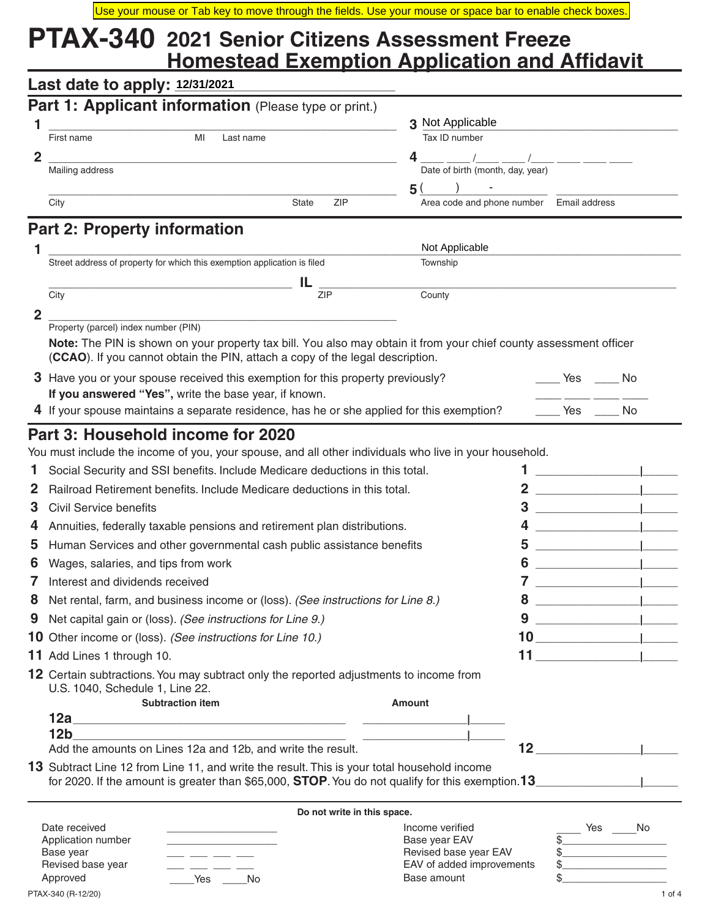# **PTAX-340 2021 Senior Citizens Assessment Freeze Homestead Exemption Application and Affidavit**

| Last date to apply: 12/31/2021       |                                                                                                                                                 |                                  |                                                                                                                                                                                                                                                                                                                                                                                                                                                |                                                                                                |
|--------------------------------------|-------------------------------------------------------------------------------------------------------------------------------------------------|----------------------------------|------------------------------------------------------------------------------------------------------------------------------------------------------------------------------------------------------------------------------------------------------------------------------------------------------------------------------------------------------------------------------------------------------------------------------------------------|------------------------------------------------------------------------------------------------|
|                                      | Part 1: Applicant information (Please type or print.)                                                                                           |                                  |                                                                                                                                                                                                                                                                                                                                                                                                                                                |                                                                                                |
|                                      |                                                                                                                                                 | 3 Not Applicable                 |                                                                                                                                                                                                                                                                                                                                                                                                                                                |                                                                                                |
| First name                           | MI<br>Last name                                                                                                                                 | Tax ID number                    |                                                                                                                                                                                                                                                                                                                                                                                                                                                |                                                                                                |
| $\overline{2}$                       |                                                                                                                                                 | 4                                |                                                                                                                                                                                                                                                                                                                                                                                                                                                |                                                                                                |
| Mailing address                      |                                                                                                                                                 | Date of birth (month, day, year) |                                                                                                                                                                                                                                                                                                                                                                                                                                                |                                                                                                |
| City                                 | <b>ZIP</b><br><b>State</b>                                                                                                                      | 5 (                              | Area code and phone number Email address                                                                                                                                                                                                                                                                                                                                                                                                       |                                                                                                |
|                                      |                                                                                                                                                 |                                  |                                                                                                                                                                                                                                                                                                                                                                                                                                                |                                                                                                |
| <b>Part 2: Property information</b>  |                                                                                                                                                 |                                  |                                                                                                                                                                                                                                                                                                                                                                                                                                                |                                                                                                |
|                                      |                                                                                                                                                 | Not Applicable                   |                                                                                                                                                                                                                                                                                                                                                                                                                                                |                                                                                                |
|                                      | Street address of property for which this exemption application is filed                                                                        | Township                         |                                                                                                                                                                                                                                                                                                                                                                                                                                                |                                                                                                |
| City                                 | IL<br>ZIP                                                                                                                                       | County                           |                                                                                                                                                                                                                                                                                                                                                                                                                                                |                                                                                                |
| $\overline{2}$                       |                                                                                                                                                 |                                  |                                                                                                                                                                                                                                                                                                                                                                                                                                                |                                                                                                |
| Property (parcel) index number (PIN) |                                                                                                                                                 |                                  |                                                                                                                                                                                                                                                                                                                                                                                                                                                |                                                                                                |
|                                      | Note: The PIN is shown on your property tax bill. You also may obtain it from your chief county assessment officer                              |                                  |                                                                                                                                                                                                                                                                                                                                                                                                                                                |                                                                                                |
|                                      | (CCAO). If you cannot obtain the PIN, attach a copy of the legal description.                                                                   |                                  |                                                                                                                                                                                                                                                                                                                                                                                                                                                |                                                                                                |
|                                      |                                                                                                                                                 |                                  |                                                                                                                                                                                                                                                                                                                                                                                                                                                |                                                                                                |
|                                      | 3 Have you or your spouse received this exemption for this property previously?                                                                 |                                  | <b>Example Yes</b>                                                                                                                                                                                                                                                                                                                                                                                                                             | Mongo No                                                                                       |
|                                      | If you answered "Yes", write the base year, if known.                                                                                           |                                  |                                                                                                                                                                                                                                                                                                                                                                                                                                                |                                                                                                |
|                                      | 4 If your spouse maintains a separate residence, has he or she applied for this exemption?                                                      |                                  | Yes                                                                                                                                                                                                                                                                                                                                                                                                                                            | No                                                                                             |
| Part 3: Household income for 2020    |                                                                                                                                                 |                                  |                                                                                                                                                                                                                                                                                                                                                                                                                                                |                                                                                                |
|                                      | You must include the income of you, your spouse, and all other individuals who live in your household.                                          |                                  |                                                                                                                                                                                                                                                                                                                                                                                                                                                |                                                                                                |
|                                      | Social Security and SSI benefits. Include Medicare deductions in this total.                                                                    |                                  |                                                                                                                                                                                                                                                                                                                                                                                                                                                |                                                                                                |
|                                      | Railroad Retirement benefits. Include Medicare deductions in this total.                                                                        |                                  |                                                                                                                                                                                                                                                                                                                                                                                                                                                |                                                                                                |
| Civil Service benefits               |                                                                                                                                                 |                                  | 3                                                                                                                                                                                                                                                                                                                                                                                                                                              |                                                                                                |
|                                      | Annuities, federally taxable pensions and retirement plan distributions.                                                                        |                                  | 4                                                                                                                                                                                                                                                                                                                                                                                                                                              |                                                                                                |
|                                      | 5 Human Services and other governmental cash public assistance benefits                                                                         |                                  | 5                                                                                                                                                                                                                                                                                                                                                                                                                                              |                                                                                                |
| Wages, salaries, and tips from work  |                                                                                                                                                 |                                  | 6                                                                                                                                                                                                                                                                                                                                                                                                                                              |                                                                                                |
| Interest and dividends received      |                                                                                                                                                 |                                  | 7                                                                                                                                                                                                                                                                                                                                                                                                                                              |                                                                                                |
|                                      | Net rental, farm, and business income or (loss). (See instructions for Line 8.)                                                                 |                                  | 8                                                                                                                                                                                                                                                                                                                                                                                                                                              |                                                                                                |
|                                      | Net capital gain or (loss). (See instructions for Line 9.)                                                                                      |                                  | 9                                                                                                                                                                                                                                                                                                                                                                                                                                              |                                                                                                |
|                                      | <b>10</b> Other income or (loss). (See instructions for Line 10.)                                                                               |                                  |                                                                                                                                                                                                                                                                                                                                                                                                                                                |                                                                                                |
|                                      |                                                                                                                                                 |                                  | $\begin{array}{c c c c c} \hline \multicolumn{3}{c }{\textbf{10}} & \multicolumn{3}{c }{\textbf{10}} & \multicolumn{3}{c }{\textbf{10}} \\ \hline \multicolumn{3}{c }{\textbf{10}} & \multicolumn{3}{c }{\textbf{10}} & \multicolumn{3}{c }{\textbf{10}} & \multicolumn{3}{c }{\textbf{10}} \\ \hline \multicolumn{3}{c }{\textbf{10}} & \multicolumn{3}{c }{\textbf{10}} & \multicolumn{3}{c }{\textbf{10}} & \multicolumn{3}{c }{\textbf{10$ |                                                                                                |
| 11 Add Lines 1 through 10.           |                                                                                                                                                 |                                  |                                                                                                                                                                                                                                                                                                                                                                                                                                                | <u> 1989 - Johann Barbara, martin basal da</u><br>the control of the control of the control of |
| U.S. 1040, Schedule 1, Line 22.      | 12 Certain subtractions. You may subtract only the reported adjustments to income from                                                          |                                  |                                                                                                                                                                                                                                                                                                                                                                                                                                                |                                                                                                |
|                                      | <b>Subtraction item</b><br><u>12a - Andrea Barbara, amerikan pendadaran pendada personal personal personal personal personal personal perso</u> | Amount                           |                                                                                                                                                                                                                                                                                                                                                                                                                                                |                                                                                                |

Add the amounts on Lines 12a and 12b, and write the result. **12 \_\_\_\_\_\_\_\_\_\_\_\_\_\_\_\_\_\_|\_\_\_\_\_\_**

**13** Subtract Line 12 from Line 11, and write the result. This is your total household income for 2020. If the amount is greater than \$65,000, **STOP**. You do not qualify for this exemption.**13\_\_\_\_\_\_\_\_\_\_\_\_\_\_\_\_\_\_|\_\_\_\_\_\_**

| Do not write in this space.         |           |                                  |  |     |    |
|-------------------------------------|-----------|----------------------------------|--|-----|----|
| Date received<br>Application number |           | Income verified<br>Base year EAV |  | Yes | No |
| Base year                           |           | Revised base year EAV            |  |     |    |
| Revised base year                   |           | EAV of added improvements        |  |     |    |
| Approved                            | Yes<br>No | Base amount                      |  |     |    |

|                 | Yes | No |  |
|-----------------|-----|----|--|
| $\overline{\$}$ |     |    |  |
| \$              |     |    |  |
| \$              |     |    |  |
| \$              |     |    |  |

PTAX-340 (R-12/20) 1 of 4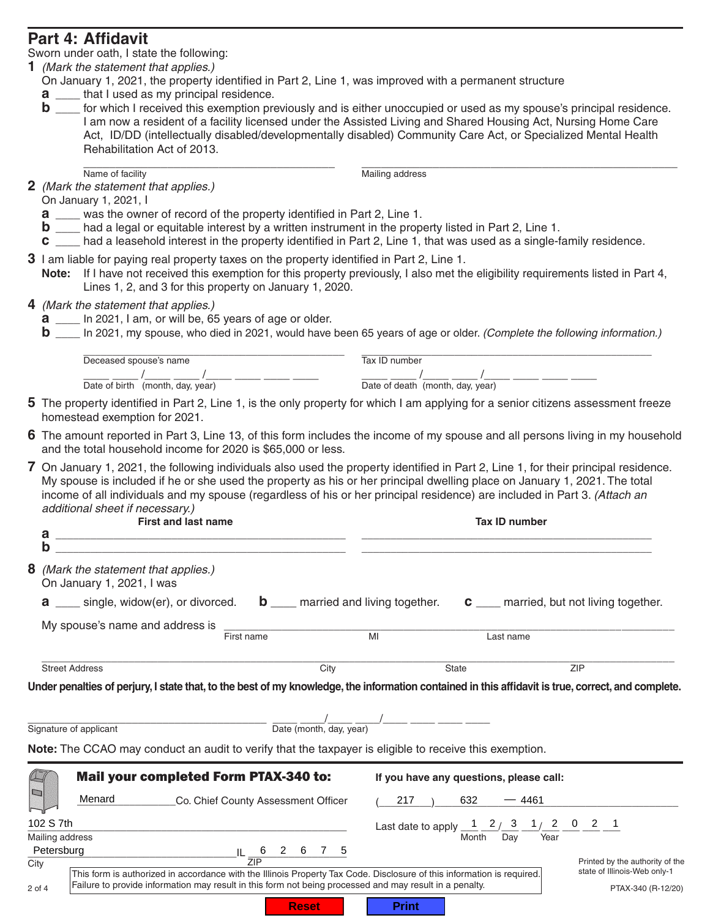# **Part 4: Affidavit**

Sworn under oath, I state the following:

- **1** *(Mark the statement that applies.)*
- On January 1, 2021, the property identified in Part 2, Line 1, was improved with a permanent structure
- **a** that I used as my principal residence.
- **b** \_\_\_\_ for which I received this exemption previously and is either unoccupied or used as my spouse's principal residence. I am now a resident of a facility licensed under the Assisted Living and Shared Housing Act, Nursing Home Care Act, ID/DD (intellectually disabled/developmentally disabled) Community Care Act, or Specialized Mental Health Rehabilitation Act of 2013.

\_\_\_\_\_\_\_\_\_\_\_\_\_\_\_\_\_\_\_\_\_\_\_\_\_\_\_\_\_\_\_\_\_\_\_\_\_\_\_ \_\_\_\_\_\_\_\_\_\_\_\_\_\_\_\_\_\_\_\_\_\_\_\_\_\_\_\_\_\_\_\_\_\_\_\_\_\_\_\_\_\_\_\_\_\_\_\_\_ Name of facility Mailing address

**2** *(Mark the statement that applies.)*

On January 1, 2021, I

- **a** \_\_\_\_ was the owner of record of the property identified in Part 2, Line 1.
- **b** \_\_\_\_ had a legal or equitable interest by a written instrument in the property listed in Part 2, Line 1.
- **c** \_\_\_\_ had a leasehold interest in the property identified in Part 2, Line 1, that was used as a single-family residence*.*
- **3** I am liable for paying real property taxes on the property identified in Part 2, Line 1.
	- **Note:** If I have not received this exemption for this property previously, I also met the eligibility requirements listed in Part 4, Lines 1, 2, and 3 for this property on January 1, 2020.
- **4** *(Mark the statement that applies.)*
	- **a** \_\_\_\_ In 2021, I am, or will be, 65 years of age or older.
	- **b** \_\_\_\_ In 2021, my spouse, who died in 2021, would have been 65 years of age or older. *(Complete the following information.)*

| Deceased spouse's name           | Tax ID number                    |
|----------------------------------|----------------------------------|
| Date of birth (month, day, year) | Date of death (month, day, year) |

- **5** The property identified in Part 2, Line 1, is the only property for which I am applying for a senior citizens assessment freeze homestead exemption for 2021.
- **6** The amount reported in Part 3, Line 13, of this form includes the income of my spouse and all persons living in my household and the total household income for 2020 is \$65,000 or less.
- **7** On January 1, 2021, the following individuals also used the property identified in Part 2, Line 1, for their principal residence. My spouse is included if he or she used the property as his or her principal dwelling place on January 1, 2021. The total income of all individuals and my spouse (regardless of his or her principal residence) are included in Part 3. *(Attach an additional sheet if necessary.)*

|      | <b>First and last name</b><br>а<br>b                                                                                                                                                                                                                                                                                                                                                                                                                                                                                                                                | <b>Tax ID number</b>       |                                                                                                                                                    |           |                                                    |
|------|---------------------------------------------------------------------------------------------------------------------------------------------------------------------------------------------------------------------------------------------------------------------------------------------------------------------------------------------------------------------------------------------------------------------------------------------------------------------------------------------------------------------------------------------------------------------|----------------------------|----------------------------------------------------------------------------------------------------------------------------------------------------|-----------|----------------------------------------------------|
| 8    | (Mark the statement that applies.)<br>On January 1, 2021, I was                                                                                                                                                                                                                                                                                                                                                                                                                                                                                                     |                            |                                                                                                                                                    |           |                                                    |
|      | $\mathbf{a}$ ____ single, widow(er), or divorced. $\mathbf{b}$ ____ married and living together. $\mathbf{c}$ ____ married, but not living together.                                                                                                                                                                                                                                                                                                                                                                                                                |                            |                                                                                                                                                    |           |                                                    |
|      | First name                                                                                                                                                                                                                                                                                                                                                                                                                                                                                                                                                          |                            | MI                                                                                                                                                 | Last name |                                                    |
|      | <b>Street Address</b>                                                                                                                                                                                                                                                                                                                                                                                                                                                                                                                                               | City                       | <b>State</b>                                                                                                                                       |           | <b>ZIP</b>                                         |
|      | $\frac{1}{\sqrt{1-\frac{1}{2}}}\frac{1}{\sqrt{1-\frac{1}{2}}}\frac{1}{\sqrt{1-\frac{1}{2}}}\frac{1}{\sqrt{1-\frac{1}{2}}}\frac{1}{\sqrt{1-\frac{1}{2}}}\frac{1}{\sqrt{1-\frac{1}{2}}}\frac{1}{\sqrt{1-\frac{1}{2}}}\frac{1}{\sqrt{1-\frac{1}{2}}}\frac{1}{\sqrt{1-\frac{1}{2}}}\frac{1}{\sqrt{1-\frac{1}{2}}}\frac{1}{\sqrt{1-\frac{1}{2}}}\frac{1}{\sqrt{1-\frac{1}{2}}}\frac{1}{\sqrt{1-\frac{1}{2}}}\frac{1}{\sqrt{1-\frac{$<br>Signature of applicant<br>Note: The CCAO may conduct an audit to verify that the taxpayer is eligible to receive this exemption. |                            |                                                                                                                                                    |           |                                                    |
|      | <b>Mail your completed Form PTAX-340 to:</b><br>Menard _____________Co. Chief County Assessment Officer                                                                                                                                                                                                                                                                                                                                                                                                                                                             |                            | If you have any questions, please call:<br>$217 \t 632$                                                                                            | $-4461$   |                                                    |
|      | 102 S 7th<br>Mailing address                                                                                                                                                                                                                                                                                                                                                                                                                                                                                                                                        |                            | Last date to apply $\frac{1}{\text{Month}} \frac{2}{\text{Day}} \frac{3}{\text{Year}} \frac{1}{\text{Year}} \frac{2}{\text{1}} \frac{0}{\text{2}}$ |           |                                                    |
| City | Petersburg                                                                                                                                                                                                                                                                                                                                                                                                                                                                                                                                                          | $IL \frac{6}{7IP}$ 2 6 7 5 |                                                                                                                                                    |           | Printed by the authority of the                    |
|      | This form is authorized in accordance with the Illinois Property Tax Code. Disclosure of this information is required.<br>Failure to provide information may result in this form not being processed and may result in a penalty.<br>2 of 4                                                                                                                                                                                                                                                                                                                         |                            |                                                                                                                                                    |           | state of Illinois-Web only-1<br>PTAX-340 (R-12/20) |
|      |                                                                                                                                                                                                                                                                                                                                                                                                                                                                                                                                                                     | <b>Reset</b>               | <b>Print</b>                                                                                                                                       |           |                                                    |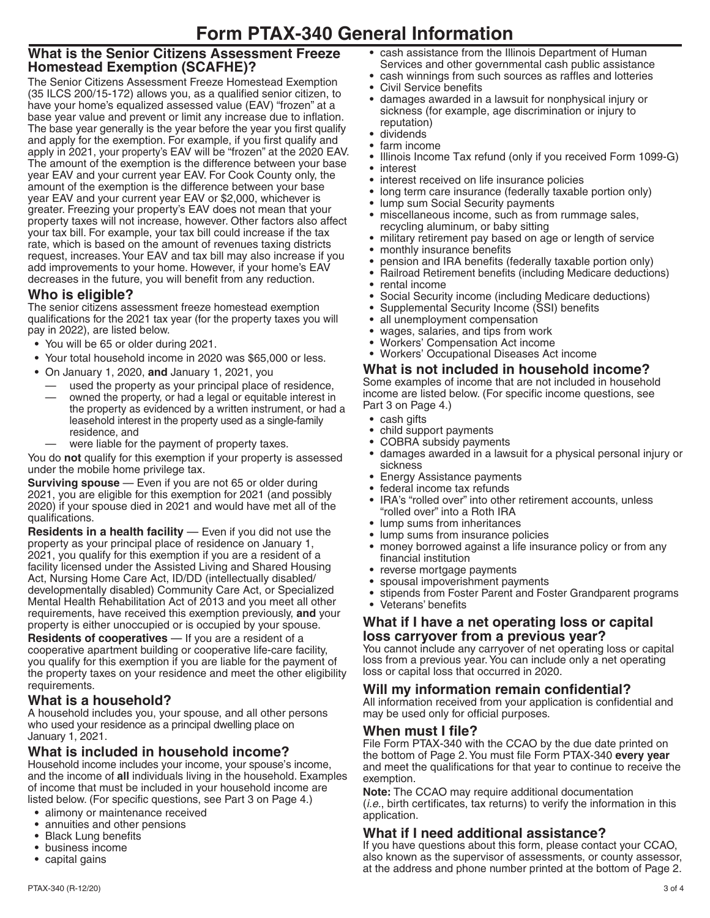# **What is the Senior Citizens Assessment Freeze Homestead Exemption (SCAFHE)?**

The Senior Citizens Assessment Freeze Homestead Exemption (35 ILCS 200/15-172) allows you, as a qualified senior citizen, to have your home's equalized assessed value (EAV) "frozen" at a base year value and prevent or limit any increase due to inflation. The base year generally is the year before the year you first qualify and apply for the exemption. For example, if you first qualify and apply in 2021, your property's EAV will be "frozen" at the 2020 EAV. The amount of the exemption is the difference between your base year EAV and your current year EAV. For Cook County only, the amount of the exemption is the difference between your base year EAV and your current year EAV or \$2,000, whichever is greater. Freezing your property's EAV does not mean that your property taxes will not increase, however. Other factors also affect your tax bill. For example, your tax bill could increase if the tax rate, which is based on the amount of revenues taxing districts request, increases. Your EAV and tax bill may also increase if you add improvements to your home. However, if your home's EAV decreases in the future, you will benefit from any reduction.

# **Who is eligible?**

The senior citizens assessment freeze homestead exemption qualifications for the 2021 tax year (for the property taxes you will pay in 2022), are listed below.

- **•** You will be 65 or older during 2021.
- **•** Your total household income in 2020 was \$65,000 or less.
- **•** On January 1, 2020, **and** January 1, 2021, you
- used the property as your principal place of residence,
- owned the property, or had a legal or equitable interest in the property as evidenced by a written instrument, or had a leasehold interest in the property used as a single-family residence, and
- were liable for the payment of property taxes.

You do **not** qualify for this exemption if your property is assessed under the mobile home privilege tax.

**Surviving spouse** — Even if you are not 65 or older during 2021, you are eligible for this exemption for 2021 (and possibly 2020) if your spouse died in 2021 and would have met all of the qualifications.

**Residents in a health facility** — Even if you did not use the property as your principal place of residence on January 1, 2021, you qualify for this exemption if you are a resident of a facility licensed under the Assisted Living and Shared Housing Act, Nursing Home Care Act, ID/DD (intellectually disabled/ developmentally disabled) Community Care Act, or Specialized Mental Health Rehabilitation Act of 2013 and you meet all other requirements, have received this exemption previously, **and** your property is either unoccupied or is occupied by your spouse.

**Residents of cooperatives** — If you are a resident of a cooperative apartment building or cooperative life-care facility, you qualify for this exemption if you are liable for the payment of the property taxes on your residence and meet the other eligibility requirements.

# **What is a household?**

A household includes you, your spouse, and all other persons who used your residence as a principal dwelling place on January 1, 2021.

## **What is included in household income?**

Household income includes your income, your spouse's income, and the income of **all** individuals living in the household. Examples of income that must be included in your household income are listed below. (For specific questions, see Part 3 on Page 4.)

- **•** alimony or maintenance received
- **•** annuities and other pensions
- **•** Black Lung benefits
- **•** business income
- **•** capital gains
- **•** cash assistance from the Illinois Department of Human Services and other governmental cash public assistance
- **•** cash winnings from such sources as raffles and lotteries
- **•** Civil Service benefits
- **•** damages awarded in a lawsuit for nonphysical injury or sickness (for example, age discrimination or injury to reputation)
- **•** dividends
- **•** farm income
- **•** Illinois Income Tax refund (only if you received Form 1099-G) **•** interest
- **•** interest received on life insurance policies
- **•** long term care insurance (federally taxable portion only)
- **•** lump sum Social Security payments
- **•** miscellaneous income, such as from rummage sales, recycling aluminum, or baby sitting
- **•** military retirement pay based on age or length of service
- **•** monthly insurance benefits
- **•** pension and IRA benefits (federally taxable portion only)
- **•** Railroad Retirement benefits (including Medicare deductions) **•** rental income
- **•** Social Security income (including Medicare deductions)
- **•** Supplemental Security Income (SSI) benefits
- **•** all unemployment compensation
- **•** wages, salaries, and tips from work
- **•** Workers' Compensation Act income
- **•** Workers' Occupational Diseases Act income

#### **What is not included in household income?**

Some examples of income that are not included in household income are listed below. (For specific income questions, see Part 3 on Page 4.)

- **•** cash gifts
- **•** child support payments
- **•** COBRA subsidy payments
- **•** damages awarded in a lawsuit for a physical personal injury or sickness
- **•** Energy Assistance payments
- **•** federal income tax refunds
- **•** IRA's "rolled over" into other retirement accounts, unless "rolled over" into a Roth IRA
- **•** lump sums from inheritances
- **•** lump sums from insurance policies
- **•** money borrowed against a life insurance policy or from any financial institution
- **•** reverse mortgage payments
- **•** spousal impoverishment payments
- **•** stipends from Foster Parent and Foster Grandparent programs
- **•** Veterans' benefits

## **What if I have a net operating loss or capital loss carryover from a previous year?**

You cannot include any carryover of net operating loss or capital loss from a previous year. You can include only a net operating loss or capital loss that occurred in 2020.

#### **Will my information remain confidential?**

All information received from your application is confidential and may be used only for official purposes.

#### **When must I file?**

File Form PTAX-340 with the CCAO by the due date printed on the bottom of Page 2. You must file Form PTAX-340 **every year** and meet the qualifications for that year to continue to receive the exemption.

**Note:** The CCAO may require additional documentation (*i.e.*, birth certificates, tax returns) to verify the information in this application.

## **What if I need additional assistance?**

If you have questions about this form, please contact your CCAO, also known as the supervisor of assessments, or county assessor, at the address and phone number printed at the bottom of Page 2.